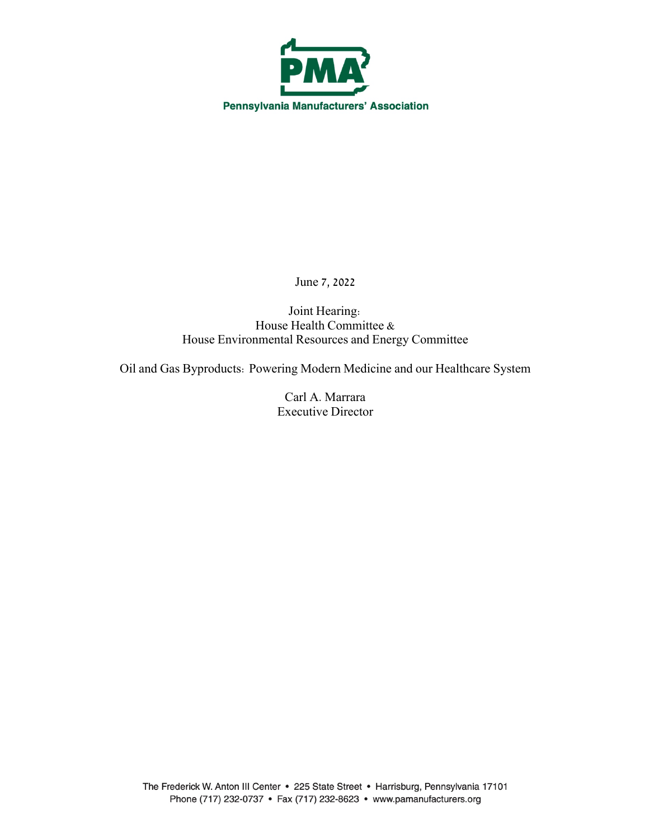

June 7, 2022

Joint Hearing: House Health Committee & House Environmental Resources and Energy Committee

Oil and Gas Byproducts: Powering Modern Medicine and our Healthcare System

Carl A. Marrara Executive Director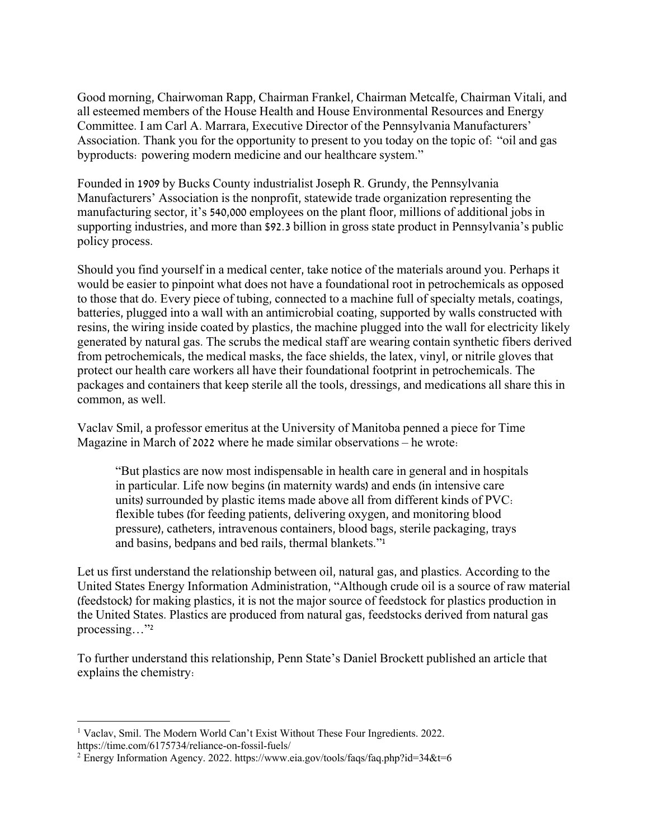Good morning, Chairwoman Rapp, Chairman Frankel, Chairman Metcalfe, Chairman Vitali, and all esteemed members of the House Health and House Environmental Resources and Energy Committee. I am Carl A. Marrara, Executive Director of the Pennsylvania Manufacturers' Association. Thank you for the opportunity to present to you today on the topic of: "oil and gas byproducts: powering modern medicine and our healthcare system."

Founded in 1909 by Bucks County industrialist Joseph R. Grundy, the Pennsylvania Manufacturers' Association is the nonprofit, statewide trade organization representing the manufacturing sector, it's 540,000 employees on the plant floor, millions of additional jobs in supporting industries, and more than \$92.3 billion in gross state product in Pennsylvania's public policy process.

Should you find yourself in a medical center, take notice of the materials around you. Perhaps it would be easier to pinpoint what does not have a foundational root in petrochemicals as opposed to those that do. Every piece of tubing, connected to a machine full of specialty metals, coatings, batteries, plugged into a wall with an antimicrobial coating, supported by walls constructed with resins, the wiring inside coated by plastics, the machine plugged into the wall for electricity likely generated by natural gas. The scrubs the medical staff are wearing contain synthetic fibers derived from petrochemicals, the medical masks, the face shields, the latex, vinyl, or nitrile gloves that protect our health care workers all have their foundational footprint in petrochemicals. The packages and containers that keep sterile all the tools, dressings, and medications all share this in common, as well.

Vaclav Smil, a professor emeritus at the University of Manitoba penned a piece for Time Magazine in March of 2022 where he made similar observations – he wrote:

"But plastics are now most indispensable in health care in general and in hospitals in particular. Life now begins (in maternity wards) and ends (in intensive care units) surrounded by plastic items made above all from different kinds of PVC: flexible tubes (for feeding patients, delivering oxygen, and monitoring blood pressure), catheters, intravenous containers, blood bags, sterile packaging, trays and basins, bedpans and bed rails, thermal blankets."1

Let us first understand the relationship between oil, natural gas, and plastics. According to the United States Energy Information Administration, "Although crude oil is a source of raw material (feedstock) for making plastics, it is not the major source of feedstock for plastics production in the United States. Plastics are produced from natural gas, feedstocks derived from natural gas processing…"2

To further understand this relationship, Penn State's Daniel Brockett published an article that explains the chemistry:

<sup>&</sup>lt;sup>1</sup> Vaclav, Smil. The Modern World Can't Exist Without These Four Ingredients. 2022. https://time.com/6175734/reliance-on-fossil-fuels/

<sup>&</sup>lt;sup>2</sup> Energy Information Agency. 2022. https://www.eia.gov/tools/faqs/faq.php?id=34&t=6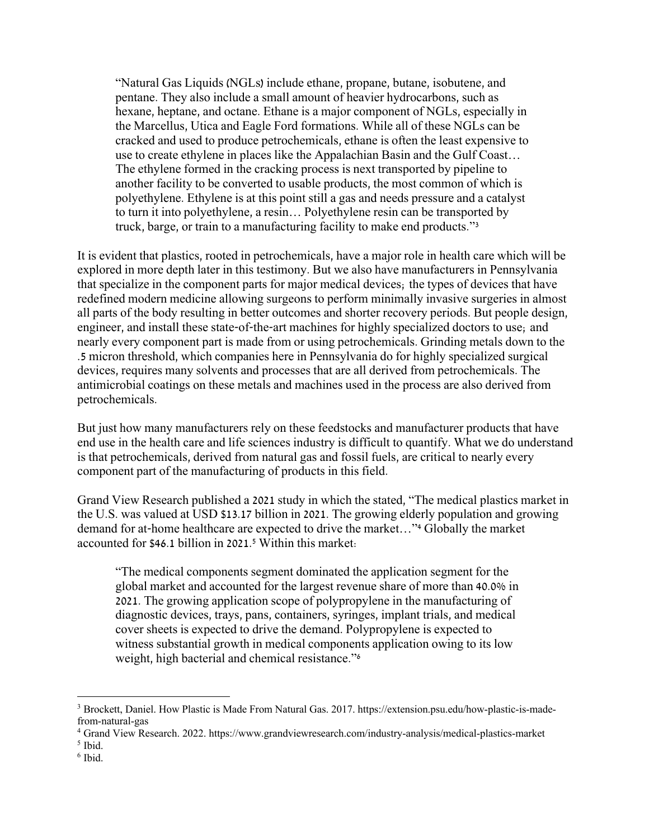"Natural Gas Liquids (NGLs) include ethane, propane, butane, isobutene, and pentane. They also include a small amount of heavier hydrocarbons, such as hexane, heptane, and octane. Ethane is a major component of NGLs, especially in the Marcellus, Utica and Eagle Ford formations. While all of these NGLs can be cracked and used to produce petrochemicals, ethane is often the least expensive to use to create ethylene in places like the Appalachian Basin and the Gulf Coast… The ethylene formed in the cracking process is next transported by pipeline to another facility to be converted to usable products, the most common of which is polyethylene. Ethylene is at this point still a gas and needs pressure and a catalyst to turn it into polyethylene, a resin… Polyethylene resin can be transported by truck, barge, or train to a manufacturing facility to make end products."3

It is evident that plastics, rooted in petrochemicals, have a major role in health care which will be explored in more depth later in this testimony. But we also have manufacturers in Pennsylvania that specialize in the component parts for major medical devices; the types of devices that have redefined modern medicine allowing surgeons to perform minimally invasive surgeries in almost all parts of the body resulting in better outcomes and shorter recovery periods. But people design, engineer, and install these state-of-the-art machines for highly specialized doctors to use; and nearly every component part is made from or using petrochemicals. Grinding metals down to the .5 micron threshold, which companies here in Pennsylvania do for highly specialized surgical devices, requires many solvents and processes that are all derived from petrochemicals. The antimicrobial coatings on these metals and machines used in the process are also derived from petrochemicals.

But just how many manufacturers rely on these feedstocks and manufacturer products that have end use in the health care and life sciences industry is difficult to quantify. What we do understand is that petrochemicals, derived from natural gas and fossil fuels, are critical to nearly every component part of the manufacturing of products in this field.

Grand View Research published a 2021 study in which the stated, "The medical plastics market in the U.S. was valued at USD \$13.17 billion in 2021. The growing elderly population and growing demand for at-home healthcare are expected to drive the market…"4 Globally the market accounted for \$46.1 billion in 2021.5 Within this market:

"The medical components segment dominated the application segment for the global market and accounted for the largest revenue share of more than 40.0% in 2021. The growing application scope of polypropylene in the manufacturing of diagnostic devices, trays, pans, containers, syringes, implant trials, and medical cover sheets is expected to drive the demand. Polypropylene is expected to witness substantial growth in medical components application owing to its low weight, high bacterial and chemical resistance."6

<sup>3</sup> Brockett, Daniel. How Plastic is Made From Natural Gas. 2017. https://extension.psu.edu/how-plastic-is-madefrom-natural-gas

<sup>4</sup> Grand View Research. 2022. https://www.grandviewresearch.com/industry-analysis/medical-plastics-market

<sup>5</sup> Ibid.

<sup>6</sup> Ibid.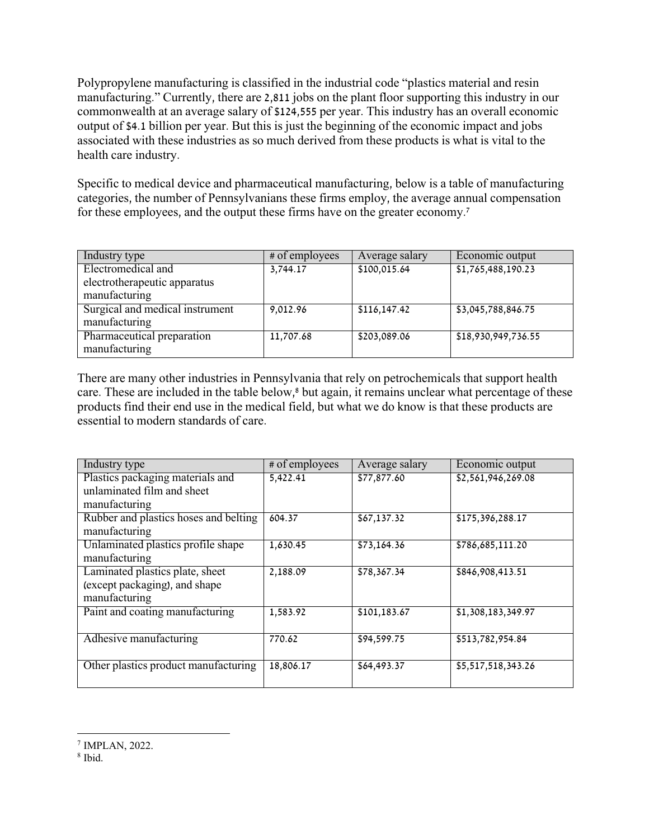Polypropylene manufacturing is classified in the industrial code "plastics material and resin manufacturing." Currently, there are 2,811 jobs on the plant floor supporting this industry in our commonwealth at an average salary of \$124,555 per year. This industry has an overall economic output of \$4.1 billion per year. But this is just the beginning of the economic impact and jobs associated with these industries as so much derived from these products is what is vital to the health care industry.

Specific to medical device and pharmaceutical manufacturing, below is a table of manufacturing categories, the number of Pennsylvanians these firms employ, the average annual compensation for these employees, and the output these firms have on the greater economy.7

| Industry type                                    | # of employees | Average salary | Economic output     |
|--------------------------------------------------|----------------|----------------|---------------------|
| Electromedical and                               | 3,744.17       | \$100,015.64   | \$1,765,488,190.23  |
| electrotherapeutic apparatus                     |                |                |                     |
| manufacturing                                    |                |                |                     |
| Surgical and medical instrument<br>manufacturing | 9,012.96       | \$116,147.42   | \$3,045,788,846.75  |
| Pharmaceutical preparation<br>manufacturing      | 11,707.68      | \$203,089.06   | \$18,930,949,736.55 |

There are many other industries in Pennsylvania that rely on petrochemicals that support health care. These are included in the table below,<sup>8</sup> but again, it remains unclear what percentage of these products find their end use in the medical field, but what we do know is that these products are essential to modern standards of care.

| Industry type                         | # of employees | Average salary | Economic output    |
|---------------------------------------|----------------|----------------|--------------------|
| Plastics packaging materials and      | 5,422.41       | \$77,877.60    | \$2,561,946,269.08 |
| unlaminated film and sheet            |                |                |                    |
| manufacturing                         |                |                |                    |
| Rubber and plastics hoses and belting | 604.37         | \$67,137.32    | \$175,396,288.17   |
| manufacturing                         |                |                |                    |
| Unlaminated plastics profile shape    | 1,630.45       | \$73,164.36    | \$786,685,111.20   |
| manufacturing                         |                |                |                    |
| Laminated plastics plate, sheet       | 2,188.09       | \$78,367.34    | \$846,908,413.51   |
| (except packaging), and shape         |                |                |                    |
| manufacturing                         |                |                |                    |
| Paint and coating manufacturing       | 1,583.92       | \$101, 183.67  | \$1,308,183,349.97 |
|                                       |                |                |                    |
| Adhesive manufacturing                | 770.62         | \$94,599.75    | \$513,782,954.84   |
|                                       |                |                |                    |
| Other plastics product manufacturing  | 18,806.17      | \$64,493.37    | \$5,517,518,343.26 |
|                                       |                |                |                    |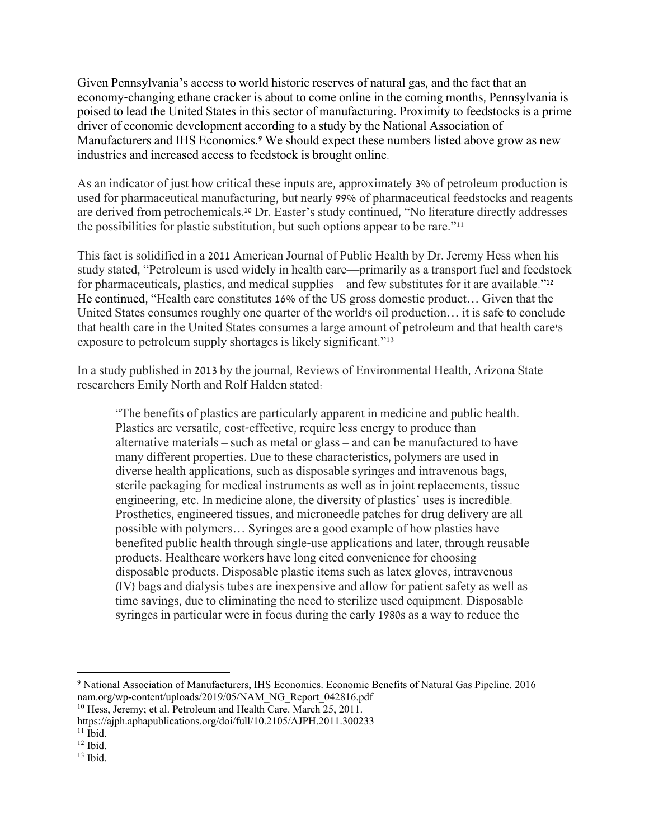Given Pennsylvania's access to world historic reserves of natural gas, and the fact that an economy-changing ethane cracker is about to come online in the coming months, Pennsylvania is poised to lead the United States in this sector of manufacturing. Proximity to feedstocks is a prime driver of economic development according to a study by the National Association of Manufacturers and IHS Economics.<sup>9</sup> We should expect these numbers listed above grow as new industries and increased access to feedstock is brought online.

As an indicator of just how critical these inputs are, approximately 3% of petroleum production is used for pharmaceutical manufacturing, but nearly 99% of pharmaceutical feedstocks and reagents are derived from petrochemicals.10 Dr. Easter's study continued, "No literature directly addresses the possibilities for plastic substitution, but such options appear to be rare."11

This fact is solidified in a 2011 American Journal of Public Health by Dr. Jeremy Hess when his study stated, "Petroleum is used widely in health care—primarily as a transport fuel and feedstock for pharmaceuticals, plastics, and medical supplies—and few substitutes for it are available."12 He continued, "Health care constitutes 16% of the US gross domestic product… Given that the United States consumes roughly one quarter of the world's oil production… it is safe to conclude that health care in the United States consumes a large amount of petroleum and that health care's exposure to petroleum supply shortages is likely significant."13

In a study published in 2013 by the journal, Reviews of Environmental Health, Arizona State researchers Emily North and Rolf Halden stated:

"The benefits of plastics are particularly apparent in medicine and public health. Plastics are versatile, cost-effective, require less energy to produce than alternative materials – such as metal or glass – and can be manufactured to have many different properties. Due to these characteristics, polymers are used in diverse health applications, such as disposable syringes and intravenous bags, sterile packaging for medical instruments as well as in joint replacements, tissue engineering, etc. In medicine alone, the diversity of plastics' uses is incredible. Prosthetics, engineered tissues, and microneedle patches for drug delivery are all possible with polymers… Syringes are a good example of how plastics have benefited public health through single-use applications and later, through reusable products. Healthcare workers have long cited convenience for choosing disposable products. Disposable plastic items such as latex gloves, intravenous (IV) bags and dialysis tubes are inexpensive and allow for patient safety as well as time savings, due to eliminating the need to sterilize used equipment. Disposable syringes in particular were in focus during the early 1980s as a way to reduce the

<sup>9</sup> National Association of Manufacturers, IHS Economics. Economic Benefits of Natural Gas Pipeline. 2016 nam.org/wp-content/uploads/2019/05/NAM\_NG\_Report\_042816.pdf

 $10$  Hess, Jeremy; et al. Petroleum and Health Care. March 25, 2011.

https://ajph.aphapublications.org/doi/full/10.2105/AJPH.2011.300233

 $\frac{11}{12}$  Ibid.<br> $\frac{12}{13}$  Ibid.